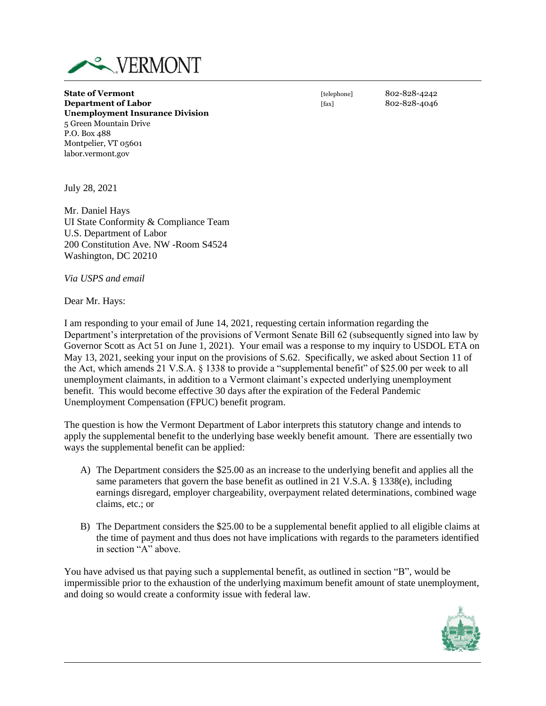

**State of Vermont State of Vermont CONSISTED 802-828-4242 Department of Labor** [fax] 802-828-4046 **Unemployment Insurance Division** 5 Green Mountain Drive P.O. Box 488 Montpelier, VT 05601 labor.vermont.gov

July 28, 2021

Mr. Daniel Hays UI State Conformity & Compliance Team U.S. Department of Labor 200 Constitution Ave. NW -Room S4524 Washington, DC 20210

*Via USPS and email*

Dear Mr. Hays:

I am responding to your email of June 14, 2021, requesting certain information regarding the Department's interpretation of the provisions of Vermont Senate Bill 62 (subsequently signed into law by Governor Scott as Act 51 on June 1, 2021). Your email was a response to my inquiry to USDOL ETA on May 13, 2021, seeking your input on the provisions of S.62. Specifically, we asked about Section 11 of the Act, which amends 21 V.S.A. § 1338 to provide a "supplemental benefit" of \$25.00 per week to all unemployment claimants, in addition to a Vermont claimant's expected underlying unemployment benefit. This would become effective 30 days after the expiration of the Federal Pandemic Unemployment Compensation (FPUC) benefit program.

The question is how the Vermont Department of Labor interprets this statutory change and intends to apply the supplemental benefit to the underlying base weekly benefit amount. There are essentially two ways the supplemental benefit can be applied:

- A) The Department considers the \$25.00 as an increase to the underlying benefit and applies all the same parameters that govern the base benefit as outlined in 21 V.S.A. § 1338(e), including earnings disregard, employer chargeability, overpayment related determinations, combined wage claims, etc.; or
- B) The Department considers the \$25.00 to be a supplemental benefit applied to all eligible claims at the time of payment and thus does not have implications with regards to the parameters identified in section "A" above.

You have advised us that paying such a supplemental benefit, as outlined in section "B", would be impermissible prior to the exhaustion of the underlying maximum benefit amount of state unemployment, and doing so would create a conformity issue with federal law.